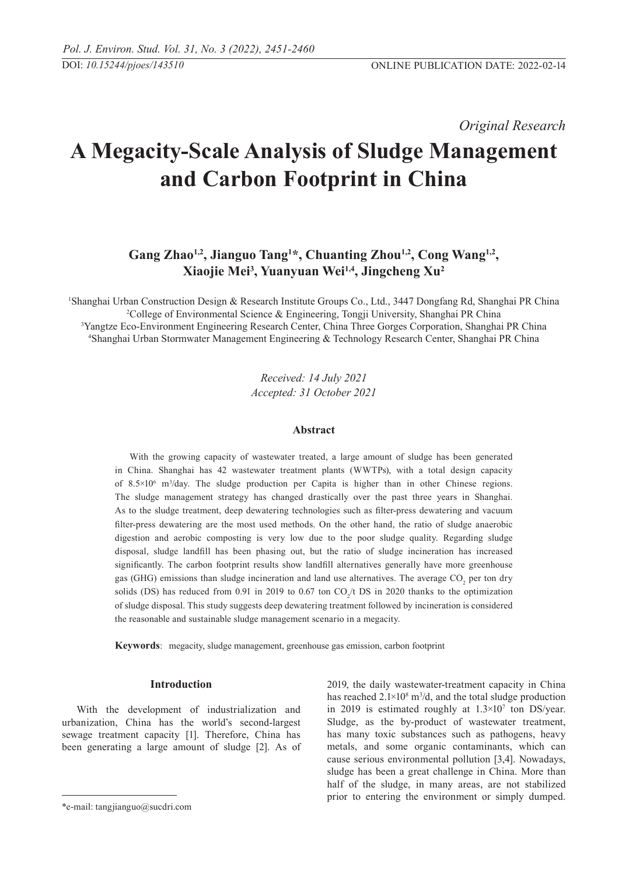*Original Research* 

# **A Megacity-Scale Analysis of Sludge Management and Carbon Footprint in China**

Gang Zhao<sup>1,2</sup>, Jianguo Tang<sup>1\*</sup>, Chuanting Zhou<sup>1,2</sup>, Cong Wang<sup>1,2</sup>, **Xiaojie Mei3 , Yuanyuan Wei1,4, Jingcheng Xu2** 

 Shanghai Urban Construction Design & Research Institute Groups Co., Ltd., 3447 Dongfang Rd, Shanghai PR China College of Environmental Science & Engineering, Tongji University, Shanghai PR China Yangtze Eco-Environment Engineering Research Center, China Three Gorges Corporation, Shanghai PR China Shanghai Urban Stormwater Management Engineering & Technology Research Center, Shanghai PR China

> *Received: 14 July 2021 Accepted: 31 October 2021*

## **Abstract**

With the growing capacity of wastewater treated, a large amount of sludge has been generated in China. Shanghai has 42 wastewater treatment plants (WWTPs), with a total design capacity of 8.5×106 m3 /day. The sludge production per Capita is higher than in other Chinese regions. The sludge management strategy has changed drastically over the past three years in Shanghai. As to the sludge treatment, deep dewatering technologies such as filter-press dewatering and vacuum filter-press dewatering are the most used methods. On the other hand, the ratio of sludge anaerobic digestion and aerobic composting is very low due to the poor sludge quality. Regarding sludge disposal, sludge landfill has been phasing out, but the ratio of sludge incineration has increased significantly. The carbon footprint results show landfill alternatives generally have more greenhouse gas (GHG) emissions than sludge incineration and land use alternatives. The average  $CO_2$  per ton dry solids (DS) has reduced from 0.91 in 2019 to 0.67 ton  $CO_2/t$  DS in 2020 thanks to the optimization of sludge disposal. This study suggests deep dewatering treatment followed by incineration is considered the reasonable and sustainable sludge management scenario in a megacity.

**Keywords**: megacity, sludge management, greenhouse gas emission, carbon footprint

## **Introduction**

With the development of industrialization and urbanization, China has the world's second-largest sewage treatment capacity [1]. Therefore, China has been generating a large amount of sludge [2]. As of 2019, the daily wastewater-treatment capacity in China has reached  $2.1 \times 10^8$  m<sup>3</sup>/d, and the total sludge production in 2019 is estimated roughly at 1.3×107 ton DS/year. Sludge, as the by-product of wastewater treatment, has many toxic substances such as pathogens, heavy metals, and some organic contaminants, which can cause serious environmental pollution [3,4]. Nowadays, sludge has been a great challenge in China. More than half of the sludge, in many areas, are not stabilized prior to entering the environment or simply dumped.

<sup>\*</sup>e-mail: tangjianguo@sucdri.com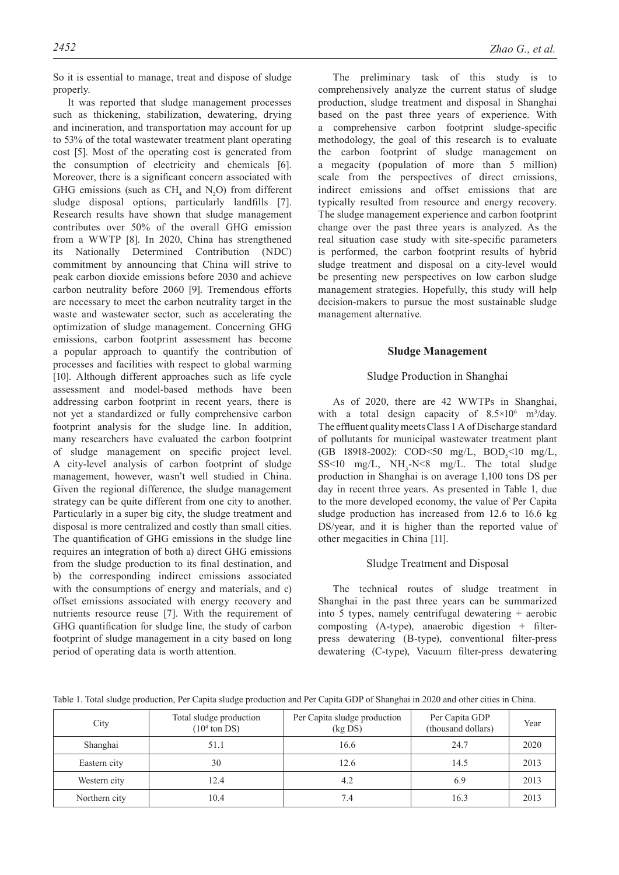So it is essential to manage, treat and dispose of sludge properly.

It was reported that sludge management processes such as thickening, stabilization, dewatering, drying and incineration, and transportation may account for up to 53% of the total wastewater treatment plant operating cost [5]. Most of the operating cost is generated from the consumption of electricity and chemicals [6]. Moreover, there is a significant concern associated with GHG emissions (such as  $CH_4$  and N<sub>2</sub>O) from different sludge disposal options, particularly landfills [7]. Research results have shown that sludge management contributes over 50% of the overall GHG emission from a WWTP [8]. In 2020, China has strengthened its Nationally Determined Contribution (NDC) commitment by announcing that China will strive to peak carbon dioxide emissions before 2030 and achieve carbon neutrality before 2060 [9]. Tremendous efforts are necessary to meet the carbon neutrality target in the waste and wastewater sector, such as accelerating the optimization of sludge management. Concerning GHG emissions, carbon footprint assessment has become a popular approach to quantify the contribution of processes and facilities with respect to global warming [10]. Although different approaches such as life cycle assessment and model-based methods have been addressing carbon footprint in recent years, there is not yet a standardized or fully comprehensive carbon footprint analysis for the sludge line. In addition, many researchers have evaluated the carbon footprint of sludge management on specific project level. A city-level analysis of carbon footprint of sludge management, however, wasn't well studied in China. Given the regional difference, the sludge management strategy can be quite different from one city to another. Particularly in a super big city, the sludge treatment and disposal is more centralized and costly than small cities. The quantification of GHG emissions in the sludge line requires an integration of both a) direct GHG emissions from the sludge production to its final destination, and b) the corresponding indirect emissions associated with the consumptions of energy and materials, and c) offset emissions associated with energy recovery and nutrients resource reuse [7]. With the requirement of GHG quantification for sludge line, the study of carbon footprint of sludge management in a city based on long period of operating data is worth attention.

The preliminary task of this study is to comprehensively analyze the current status of sludge production, sludge treatment and disposal in Shanghai based on the past three years of experience. With a comprehensive carbon footprint sludge-specific methodology, the goal of this research is to evaluate the carbon footprint of sludge management on a megacity (population of more than 5 million) scale from the perspectives of direct emissions, indirect emissions and offset emissions that are typically resulted from resource and energy recovery. The sludge management experience and carbon footprint change over the past three years is analyzed. As the real situation case study with site-specific parameters is performed, the carbon footprint results of hybrid sludge treatment and disposal on a city-level would be presenting new perspectives on low carbon sludge management strategies. Hopefully, this study will help decision-makers to pursue the most sustainable sludge management alternative.

## **Sludge Management**

### Sludge Production in Shanghai

As of 2020, there are 42 WWTPs in Shanghai, with a total design capacity of  $8.5 \times 10^6$  m<sup>3</sup>/day. The effluent quality meets Class 1 A of Discharge standard of pollutants for municipal wastewater treatment plant (GB 18918-2002): COD<50 mg/L, BOD<sub>5</sub><10 mg/L,  $SS < 10$  mg/L,  $NH_3-N < 8$  mg/L. The total sludge production in Shanghai is on average 1,100 tons DS per day in recent three years. As presented in Table 1, due to the more developed economy, the value of Per Capita sludge production has increased from 12.6 to 16.6 kg DS/year, and it is higher than the reported value of other megacities in China [11].

## Sludge Treatment and Disposal

The technical routes of sludge treatment in Shanghai in the past three years can be summarized into 5 types, namely centrifugal dewatering + aerobic composting  $(A-type)$ , anaerobic digestion + filterpress dewatering (B-type), conventional filter-press dewatering (C-type), Vacuum filter-press dewatering

Table 1. Total sludge production, Per Capita sludge production and Per Capita GDP of Shanghai in 2020 and other cities in China.

| City          | Total sludge production<br>$(104$ ton DS) | Per Capita sludge production<br>(kgDS) | Per Capita GDP<br>(thousand dollars) | Year |
|---------------|-------------------------------------------|----------------------------------------|--------------------------------------|------|
| Shanghai      | 51.1                                      | 16.6                                   | 24.7                                 | 2020 |
| Eastern city  | 30                                        | 12.6                                   | 14.5                                 | 2013 |
| Western city  | 12.4                                      | 4.2                                    | 6.9                                  | 2013 |
| Northern city | 10.4                                      | 7.4                                    | 16.3                                 | 2013 |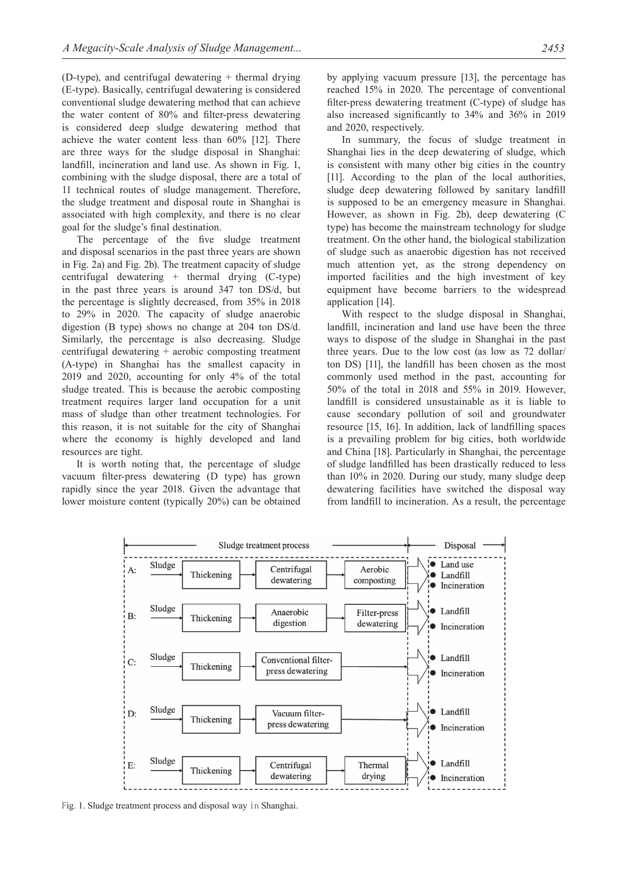$(D$ -type), and centrifugal dewatering  $+$  thermal drying (E-type). Basically, centrifugal dewatering is considered conventional sludge dewatering method that can achieve the water content of 80% and filter-press dewatering is considered deep sludge dewatering method that achieve the water content less than 60% [12]. There are three ways for the sludge disposal in Shanghai: landfill, incineration and land use. As shown in Fig. 1, combining with the sludge disposal, there are a total of 11 technical routes of sludge management. Therefore, the sludge treatment and disposal route in Shanghai is associated with high complexity, and there is no clear goal for the sludge's final destination.

The percentage of the five sludge treatment and disposal scenarios in the past three years are shown in Fig. 2a) and Fig. 2b). The treatment capacity of sludge centrifugal dewatering + thermal drying (C-type) in the past three years is around 347 ton DS/d, but the percentage is slightly decreased, from 35% in 2018 to 29% in 2020. The capacity of sludge anaerobic digestion (B type) shows no change at 204 ton DS/d. Similarly, the percentage is also decreasing. Sludge centrifugal dewatering + aerobic composting treatment (A-type) in Shanghai has the smallest capacity in 2019 and 2020, accounting for only 4% of the total sludge treated. This is because the aerobic composting treatment requires larger land occupation for a unit mass of sludge than other treatment technologies. For this reason, it is not suitable for the city of Shanghai where the economy is highly developed and land resources are tight.

It is worth noting that, the percentage of sludge vacuum filter-press dewatering (D type) has grown rapidly since the year 2018. Given the advantage that lower moisture content (typically 20%) can be obtained by applying vacuum pressure [13], the percentage has reached 15% in 2020. The percentage of conventional filter-press dewatering treatment (C-type) of sludge has also increased significantly to 34% and 36% in 2019 and 2020, respectively.

In summary, the focus of sludge treatment in Shanghai lies in the deep dewatering of sludge, which is consistent with many other big cities in the country [11]. According to the plan of the local authorities, sludge deep dewatering followed by sanitary landfill is supposed to be an emergency measure in Shanghai. However, as shown in Fig. 2b), deep dewatering (C type) has become the mainstream technology for sludge treatment. On the other hand, the biological stabilization of sludge such as anaerobic digestion has not received much attention yet, as the strong dependency on imported facilities and the high investment of key equipment have become barriers to the widespread application [14].

With respect to the sludge disposal in Shanghai, landfill, incineration and land use have been the three ways to dispose of the sludge in Shanghai in the past three years. Due to the low cost (as low as 72 dollar/ ton DS) [11], the landfill has been chosen as the most commonly used method in the past, accounting for 50% of the total in 2018 and 55% in 2019. However, landfill is considered unsustainable as it is liable to cause secondary pollution of soil and groundwater resource [15, 16]. In addition, lack of landfilling spaces is a prevailing problem for big cities, both worldwide and China [18]. Particularly in Shanghai, the percentage of sludge landfilled has been drastically reduced to less than 10% in 2020. During our study, many sludge deep dewatering facilities have switched the disposal way from landfill to incineration. As a result, the percentage



Fig. 1. Sludge treatment process and disposal way in Shanghai.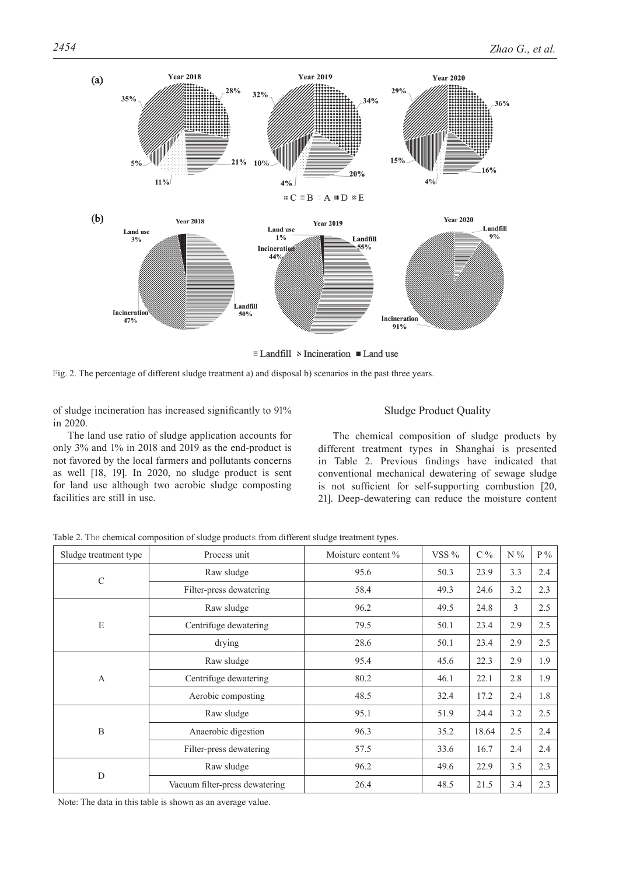

 $\equiv$  Landfill  $\vee$  Incineration  $\blacksquare$  Land use

Fig. 2. The percentage of different sludge treatment a) and disposal b) scenarios in the past three years.

of sludge incineration has increased significantly to 91% in 2020.

The land use ratio of sludge application accounts for only 3% and 1% in 2018 and 2019 as the end-product is not favored by the local farmers and pollutants concerns as well [18, 19]. In 2020, no sludge product is sent for land use although two aerobic sludge composting facilities are still in use.

## Sludge Product Quality

The chemical composition of sludge products by different treatment types in Shanghai is presented in Table 2. Previous findings have indicated that conventional mechanical dewatering of sewage sludge is not sufficient for self-supporting combustion [20, 21]. Deep-dewatering can reduce the moisture content

| Sludge treatment type | Process unit                   | Moisture content % | VSS $%$ | $C\%$ | $N\%$ | $P\%$ |
|-----------------------|--------------------------------|--------------------|---------|-------|-------|-------|
| $\mathbf C$           | Raw sludge                     | 95.6               | 50.3    | 23.9  | 3.3   | 2.4   |
|                       | Filter-press dewatering        | 58.4               | 49.3    | 24.6  | 3.2   | 2.3   |
| E                     | Raw sludge                     | 96.2               | 49.5    | 24.8  | 3     | 2.5   |
|                       | Centrifuge dewatering          | 79.5               | 50.1    | 23.4  | 2.9   | 2.5   |
|                       | drying                         | 28.6               | 50.1    | 23.4  | 2.9   | 2.5   |
| $\mathbf{A}$          | Raw sludge                     | 95.4               | 45.6    | 22.3  | 2.9   | 1.9   |
|                       | Centrifuge dewatering          | 80.2               | 46.1    | 22.1  | 2.8   | 1.9   |
|                       | Aerobic composting             | 48.5               | 32.4    | 17.2  | 2.4   | 1.8   |
| B                     | Raw sludge                     | 95.1               | 51.9    | 24.4  | 3.2   | 2.5   |
|                       | Anaerobic digestion            | 96.3               | 35.2    | 18.64 | 2.5   | 2.4   |
|                       | Filter-press dewatering        | 57.5               | 33.6    | 16.7  | 2.4   | 2.4   |
| D                     | Raw sludge                     | 96.2               | 49.6    | 22.9  | 3.5   | 2.3   |
|                       | Vacuum filter-press dewatering | 26.4               | 48.5    | 21.5  | 3.4   | 2.3   |

Table 2. The chemical composition of sludge products from different sludge treatment types.

Note: The data in this table is shown as an average value.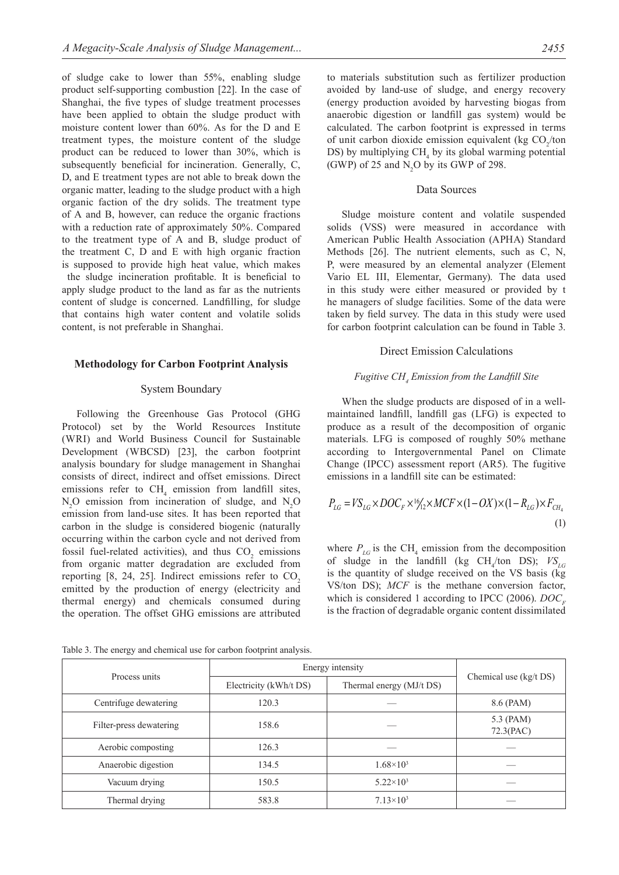of sludge cake to lower than 55%, enabling sludge product self-supporting combustion [22]. In the case of Shanghai, the five types of sludge treatment processes have been applied to obtain the sludge product with moisture content lower than 60%. As for the D and E treatment types, the moisture content of the sludge product can be reduced to lower than 30%, which is subsequently beneficial for incineration. Generally, C, D, and E treatment types are not able to break down the organic matter, leading to the sludge product with a high organic faction of the dry solids. The treatment type of A and B, however, can reduce the organic fractions with a reduction rate of approximately 50%. Compared to the treatment type of A and B, sludge product of the treatment C, D and E with high organic fraction is supposed to provide high heat value, which makes the sludge incineration profitable. It is beneficial to apply sludge product to the land as far as the nutrients content of sludge is concerned. Landfilling, for sludge that contains high water content and volatile solids content, is not preferable in Shanghai.

#### **Methodology for Carbon Footprint Analysis**

#### System Boundary

Following the Greenhouse Gas Protocol (GHG Protocol) set by the World Resources Institute (WRI) and World Business Council for Sustainable Development (WBCSD) [23], the carbon footprint analysis boundary for sludge management in Shanghai consists of direct, indirect and offset emissions. Direct emissions refer to  $CH_4$  emission from landfill sites,  $N_2O$  emission from incineration of sludge, and  $N_2O$ emission from land-use sites. It has been reported that carbon in the sludge is considered biogenic (naturally occurring within the carbon cycle and not derived from fossil fuel-related activities), and thus  $CO_2$  emissions from organic matter degradation are excluded from reporting  $[8, 24, 25]$ . Indirect emissions refer to  $CO<sub>2</sub>$ emitted by the production of energy (electricity and thermal energy) and chemicals consumed during the operation. The offset GHG emissions are attributed

to materials substitution such as fertilizer production avoided by land-use of sludge, and energy recovery (energy production avoided by harvesting biogas from anaerobic digestion or landfill gas system) would be calculated. The carbon footprint is expressed in terms of unit carbon dioxide emission equivalent (kg  $CO_2$ /ton DS) by multiplying  $CH_4$  by its global warming potential (GWP) of 25 and  $N_2O$  by its GWP of 298.

## Data Sources

Sludge moisture content and volatile suspended solids (VSS) were measured in accordance with American Public Health Association (APHA) Standard Methods [26]. The nutrient elements, such as C, N, P, were measured by an elemental analyzer (Element Vario EL III, Elementar, Germany). The data used in this study were either measured or provided by t he managers of sludge facilities. Some of the data were taken by field survey. The data in this study were used for carbon footprint calculation can be found in Table 3.

#### Direct Emission Calculations

#### *Fugitive CH, Emission from the Landfill Site*

When the sludge products are disposed of in a wellmaintained landfill, landfill gas (LFG) is expected to produce as a result of the decomposition of organic materials. LFG is composed of roughly 50% methane according to Intergovernmental Panel on Climate Change (IPCC) assessment report (AR5). The fugitive emissions in a landfill site can be estimated:

$$
P_{LG} = VS_{LG} \times DOC_F \times \frac{16}{12} \times MCF \times (1 - OX) \times (1 - R_{LG}) \times F_{CH_4}
$$
\n(1)

where  $P_{LG}$  is the CH<sub>4</sub> emission from the decomposition of sludge in the landfill (kg  $CH_4$ /ton DS);  $VS_{LG}$ is the quantity of sludge received on the VS basis (kg VS/ton DS); *MCF* is the methane conversion factor, which is considered 1 according to IPCC (2006). *DOC*, is the fraction of degradable organic content dissimilated

|                         | Energy intensity       |                          |                        |  |
|-------------------------|------------------------|--------------------------|------------------------|--|
| Process units           | Electricity (kWh/t DS) | Thermal energy (MJ/t DS) | Chemical use (kg/t DS) |  |
| Centrifuge dewatering   | 120.3                  |                          | 8.6 (PAM)              |  |
| Filter-press dewatering | 158.6                  |                          | 5.3 (PAM)<br>72.3(PAC) |  |
| Aerobic composting      | 126.3                  |                          |                        |  |
| Anaerobic digestion     | 134.5                  | $1.68\times10^{3}$       |                        |  |
| Vacuum drying           | 150.5                  | $5.22\times10^{3}$       |                        |  |
| Thermal drying          | 583.8                  | $7.13\times10^{3}$       |                        |  |

Table 3. The energy and chemical use for carbon footprint analysis.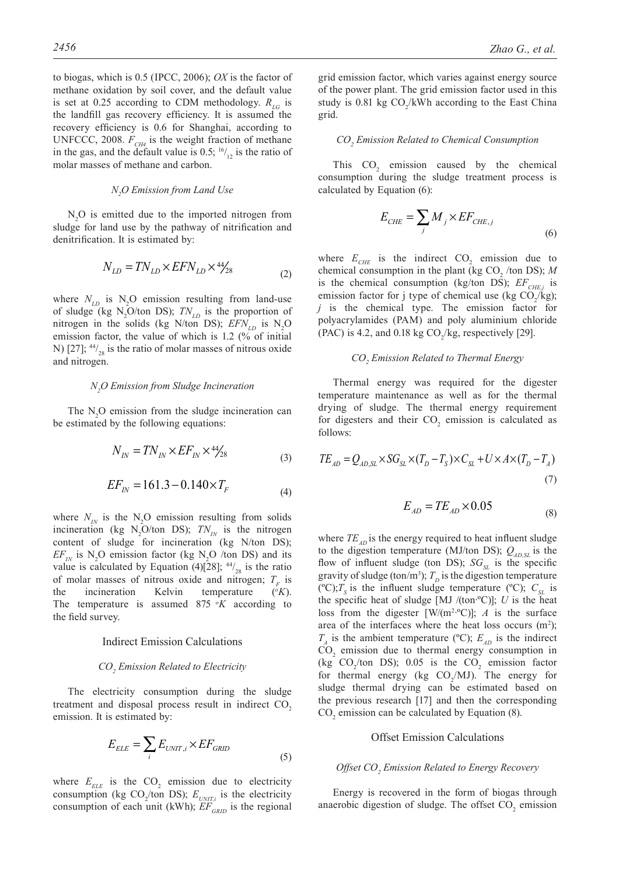to biogas, which is 0.5 (IPCC, 2006); *OX* is the factor of methane oxidation by soil cover, and the default value is set at 0.25 according to CDM methodology.  $R_{LG}$  is the landfill gas recovery efficiency. It is assumed the recovery efficiency is 0.6 for Shanghai, according to UNFCCC, 2008.  $F_{CH4}$  is the weight fraction of methane in the gas, and the default value is 0.5;  $^{16}/_{12}$  is the ratio of molar masses of methane and carbon.

# *N2 O Emission from Land Use*

 $N_2$ O is emitted due to the imported nitrogen from sludge for land use by the pathway of nitrification and denitrification. It is estimated by:

$$
N_{LD} = TN_{LD} \times EFN_{LD} \times \frac{44}{28} \tag{2}
$$

where  $N_{LD}$  is  $N_2O$  emission resulting from land-use of sludge (kg  $N_2O/t$ on DS);  $TN_{LD}$  is the proportion of nitrogen in the solids (kg N/ton DS);  $EFN_{LD}$  is  $N_2O$ emission factor, the value of which is 1.2 (% of initial N) [27];  $44/_{28}$  is the ratio of molar masses of nitrous oxide and nitrogen.

# *N2 O Emission from Sludge Incineration*

The  $N_2O$  emission from the sludge incineration can be estimated by the following equations:

$$
N_{IN} = TN_{IN} \times EF_{IN} \times 4\frac{4}{28}
$$
\n<sup>(3)</sup>

$$
EF_{IN} = 161.3 - 0.140 \times T_F
$$
\n(4)

where  $N_{IN}$  is the N<sub>2</sub>O emission resulting from solids incineration (kg  $N_2O/t$ on DS);  $TN_{1N}$  is the nitrogen content of sludge for incineration (kg N/ton DS);  $EF_{IN}$  is N<sub>2</sub>O emission factor (kg N<sub>2</sub>O /ton DS) and its value is calculated by Equation (4)[28];  $44/_{28}$  is the ratio of molar masses of nitrous oxide and nitrogen;  $T_F$  is<br>the incineration Kelvin temperature  $({}^{\circ}K)$ . temperature  $(^oK)$ . The temperature is assumed  $875 \, \, \mathrm{o}K$  according to the field survey.

#### Indirect Emission Calculations

# *CO2 Emission Related to Electricity*

The electricity consumption during the sludge treatment and disposal process result in indirect  $CO<sub>2</sub>$ emission. It is estimated by:

$$
E_{ELE} = \sum_{i} E_{UNIT,i} \times EF_{GRID}
$$
\n(5)

where  $E_{ELE}$  is the  $CO_2$  emission due to electricity consumption (kg  $CO_2$ /ton DS);  $E_{UNIT,i}$  is the electricity consumption of each unit (kWh);  $EF_{GRID}$  is the regional

grid emission factor, which varies against energy source of the power plant. The grid emission factor used in this study is 0.81 kg  $CO_2/kWh$  according to the East China grid.

# *CO2 Emission Related to Chemical Consumption*

This  $CO<sub>2</sub>$  emission caused by the chemical consumption during the sludge treatment process is calculated by Equation (6):

$$
E_{CHE} = \sum_{j} M_{j} \times EF_{CHE,j} \tag{6}
$$

where  $E_{CHE}$  is the indirect  $CO_2$  emission due to chemical consumption in the plant (kg  $CO_2$  /ton DS); *M* is the chemical consumption (kg/ton DS);  $EF_{CHE,i}$  is emission factor for j type of chemical use (kg  $CO_2/kg$ ); *j* is the chemical type. The emission factor for polyacrylamides (PAM) and poly aluminium chloride (PAC) is 4.2, and 0.18 kg  $CO_2/kg$ , respectively [29].

# *CO2 Emission Related to Thermal Energy*

Thermal energy was required for the digester temperature maintenance as well as for the thermal drying of sludge. The thermal energy requirement for digesters and their  $CO<sub>2</sub>$  emission is calculated as follows:

$$
TE_{AD} = Q_{AD,SL} \times SG_{SL} \times (T_D - T_S) \times C_{SL} + U \times A \times (T_D - T_A)
$$
\n(7)

$$
E_{AD} = TE_{AD} \times 0.05\tag{8}
$$

where  $TE_{AD}$  is the energy required to heat influent sludge to the digestion temperature (MJ/ton DS);  $Q_{AD,SL}$  is the flow of influent sludge (ton DS);  $SG_{st}$  is the specific gravity of sludge (ton/m<sup>3</sup>);  $T<sub>D</sub>$  is the digestion temperature (°C);  $T_s$  is the influent sludge temperature (°C);  $C_{SL}$  is the specific heat of sludge  $[MJ/(ton°C)]$ ; *U* is the heat loss from the digester  $[W/(m^2 \cdot ^{\circ}C)]$ ; *A* is the surface area of the interfaces where the heat loss occurs  $(m^2)$ ;  $T_A$  is the ambient temperature (°C);  $E_{AD}$  is the indirect  $CO<sub>2</sub>$  emission due to thermal energy consumption in (kg  $CO_2$ /ton DS); 0.05 is the  $CO_2$  emission factor for thermal energy (kg  $CO_2/MJ$ ). The energy for sludge thermal drying can be estimated based on the previous research [17] and then the corresponding  $CO<sub>2</sub>$  emission can be calculated by Equation (8).

#### Offset Emission Calculations

# Offset CO<sub>2</sub> Emission Related to Energy Recovery

Energy is recovered in the form of biogas through anaerobic digestion of sludge. The offset  $CO<sub>2</sub>$  emission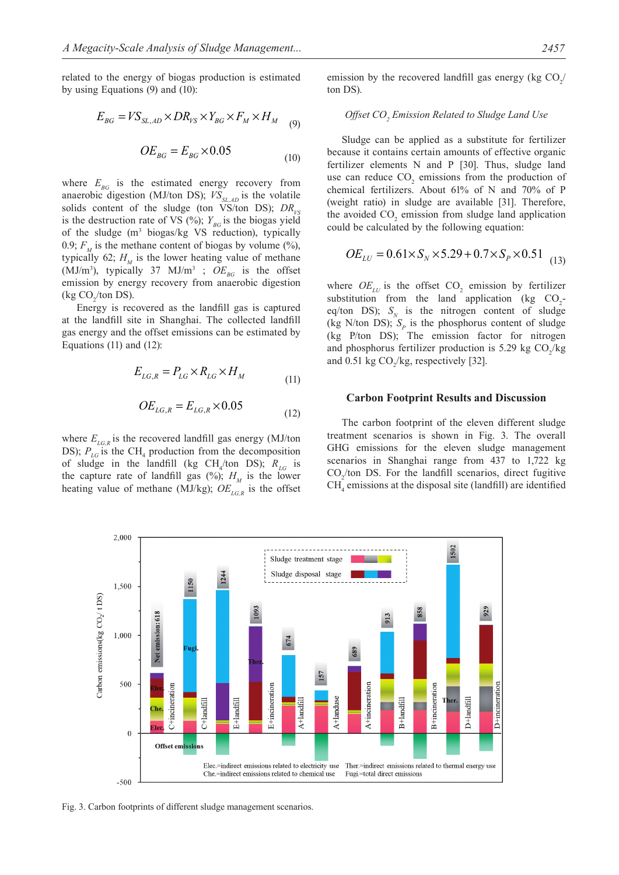related to the energy of biogas production is estimated by using Equations (9) and (10):

$$
E_{BG} = VS_{SL,AD} \times DR_{VS} \times Y_{BG} \times F_M \times H_M \quad (9)
$$

$$
OE_{BG} = E_{BG} \times 0.05\tag{10}
$$

where  $E_{BG}$  is the estimated energy recovery from anaerobic digestion (MJ/ton DS);  $VS_{SLAD}$  is the volatile solids content of the sludge (ton VS/ton DS);  $DR_{\nu s}$ is the destruction rate of VS (%);  $Y_{BG}$  is the biogas yield of the sludge  $(m^3 \text{ biogas/kg} \text{ VS}$  reduction), typically 0.9;  $F<sub>M</sub>$  is the methane content of biogas by volume (%), typically 62;  $H<sub>M</sub>$  is the lower heating value of methane  $(MJ/m<sup>3</sup>)$ , typically 37 MJ/m<sup>3</sup>;  $OE<sub>BG</sub>$  is the offset emission by energy recovery from anaerobic digestion (kg  $CO_2$ /ton DS).

Energy is recovered as the landfill gas is captured at the landfill site in Shanghai. The collected landfill gas energy and the offset emissions can be estimated by Equations  $(11)$  and  $(12)$ :

$$
E_{LG,R} = P_{LG} \times R_{LG} \times H_M \tag{11}
$$

$$
OE_{LG,R} = E_{LG,R} \times 0.05
$$
 (12)

where  $E_{L_{G,R}}$  is the recovered landfill gas energy (MJ/ton DS);  $P_{LG}$  is the CH<sub>4</sub> production from the decomposition of sludge in the landfill (kg  $CH_4$ /ton DS);  $R_{LG}$  is the capture rate of landfill gas  $(\%)$ ;  $H_M$  is the lower heating value of methane (MJ/kg);  $OE_{LG,R}$  is the offset

emission by the recovered landfill gas energy (kg  $CO_2/$ ton DS).

# *Offset CO2 Emission Related to Sludge Land Use*

Sludge can be applied as a substitute for fertilizer because it contains certain amounts of effective organic fertilizer elements N and P [30]. Thus, sludge land use can reduce  $CO_2$  emissions from the production of chemical fertilizers. About 61% of N and 70% of P (weight ratio) in sludge are available [31]. Therefore, the avoided  $CO_2$  emission from sludge land application could be calculated by the following equation:

$$
OE_{LU} = 0.61 \times S_N \times 5.29 + 0.7 \times S_P \times 0.51
$$
 (13)

where  $OE_{LU}$  is the offset  $CO_2$  emission by fertilizer substitution from the land application (kg  $CO_2$ eq/ton DS);  $S_N$  is the nitrogen content of sludge (kg N/ton DS);  $S_p$  is the phosphorus content of sludge (kg P/ton DS); The emission factor for nitrogen and phosphorus fertilizer production is 5.29 kg  $CO_2/kg$ and 0.51 kg  $CO_2$ /kg, respectively [32].

#### **Carbon Footprint Results and Discussion**

The carbon footprint of the eleven different sludge treatment scenarios is shown in Fig. 3. The overall GHG emissions for the eleven sludge management scenarios in Shanghai range from 437 to 1,722 kg  $CO<sub>2</sub>/ton DS$ . For the landfill scenarios, direct fugitive  $CH<sub>4</sub>$  emissions at the disposal site (landfill) are identified



Fig. 3. Carbon footprints of different sludge management scenarios.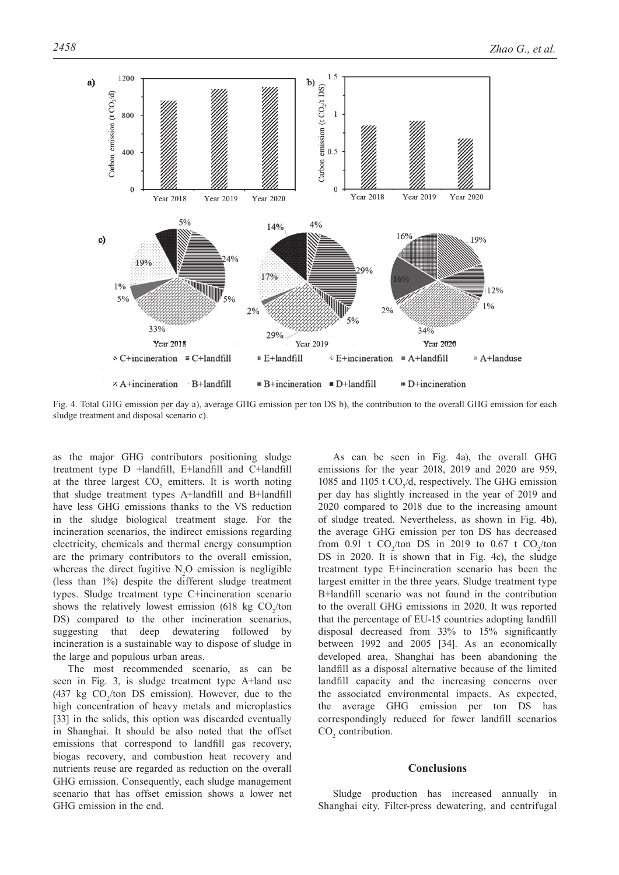

Fig. 4. Total GHG emission per day a), average GHG emission per ton DS b), the contribution to the overall GHG emission for each sludge treatment and disposal scenario c).

as the major GHG contributors positioning sludge treatment type D +landfill, E+landfill and C+landfill at the three largest  $CO_2$  emitters. It is worth noting that sludge treatment types A+landfill and B+landfill have less GHG emissions thanks to the VS reduction in the sludge biological treatment stage. For the incineration scenarios, the indirect emissions regarding electricity, chemicals and thermal energy consumption are the primary contributors to the overall emission, whereas the direct fugitive  $N_2O$  emission is negligible (less than 1%) despite the different sludge treatment types. Sludge treatment type C+incineration scenario shows the relatively lowest emission (618 kg  $CO_2$ /ton DS) compared to the other incineration scenarios, suggesting that deep dewatering followed by incineration is a sustainable way to dispose of sludge in the large and populous urban areas.

The most recommended scenario, as can be seen in Fig. 3, is sludge treatment type A+land use (437 kg  $CO_2$ /ton DS emission). However, due to the high concentration of heavy metals and microplastics [33] in the solids, this option was discarded eventually in Shanghai. It should be also noted that the offset emissions that correspond to landfill gas recovery, biogas recovery, and combustion heat recovery and nutrients reuse are regarded as reduction on the overall GHG emission. Consequently, each sludge management scenario that has offset emission shows a lower net GHG emission in the end.

As can be seen in Fig. 4a), the overall GHG emissions for the year 2018, 2019 and 2020 are 959, 1085 and 1105 t  $CO<sub>2</sub>/d$ , respectively. The GHG emission per day has slightly increased in the year of 2019 and 2020 compared to 2018 due to the increasing amount of sludge treated. Nevertheless, as shown in Fig. 4b), the average GHG emission per ton DS has decreased from 0.91 t  $CO_2$ /ton DS in 2019 to 0.67 t  $CO_2$ /ton DS in 2020. It is shown that in Fig. 4c), the sludge treatment type E+incineration scenario has been the largest emitter in the three years. Sludge treatment type B+landfill scenario was not found in the contribution to the overall GHG emissions in 2020. It was reported that the percentage of EU-15 countries adopting landfill disposal decreased from 33% to 15% significantly between 1992 and 2005 [34]. As an economically developed area, Shanghai has been abandoning the landfill as a disposal alternative because of the limited landfill capacity and the increasing concerns over the associated environmental impacts. As expected, the average GHG emission per ton DS has correspondingly reduced for fewer landfill scenarios  $CO<sub>2</sub>$  contribution.

#### **Conclusions**

Sludge production has increased annually in Shanghai city. Filter-press dewatering, and centrifugal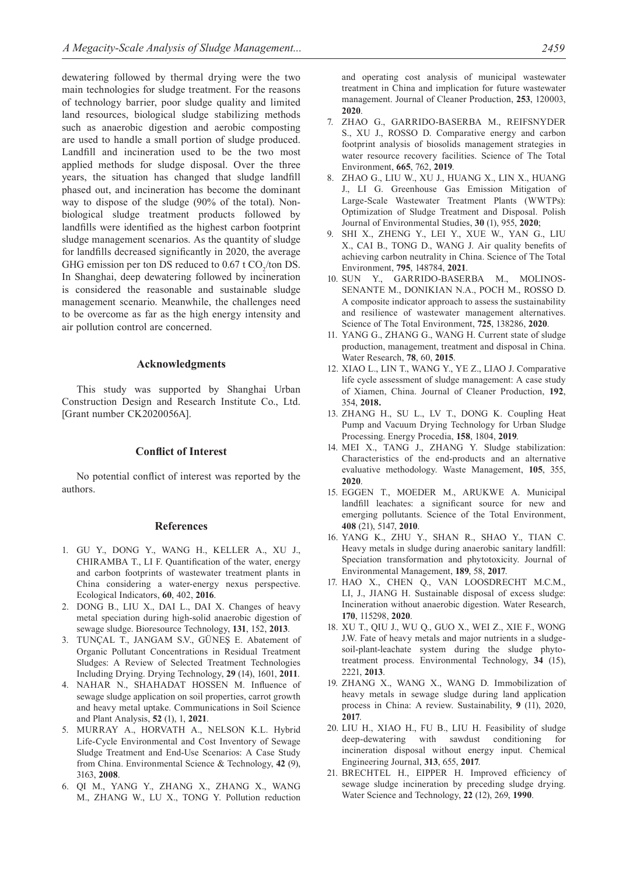dewatering followed by thermal drying were the two main technologies for sludge treatment. For the reasons of technology barrier, poor sludge quality and limited land resources, biological sludge stabilizing methods such as anaerobic digestion and aerobic composting are used to handle a small portion of sludge produced. Landfill and incineration used to be the two most applied methods for sludge disposal. Over the three years, the situation has changed that sludge landfill phased out, and incineration has become the dominant way to dispose of the sludge (90% of the total). Nonbiological sludge treatment products followed by landfills were identified as the highest carbon footprint sludge management scenarios. As the quantity of sludge for landfills decreased significantly in 2020, the average GHG emission per ton DS reduced to  $0.67$  t CO<sub>2</sub>/ton DS. In Shanghai, deep dewatering followed by incineration is considered the reasonable and sustainable sludge management scenario. Meanwhile, the challenges need to be overcome as far as the high energy intensity and air pollution control are concerned.

### **Acknowledgments**

This study was supported by Shanghai Urban Construction Design and Research Institute Co., Ltd. [Grant number CK2020056A].

### **Conflict of Interest**

No potential conflict of interest was reported by the authors.

#### **References**

- 1. GU Y., DONG Y., WANG H., KELLER A., XU J., CHIRAMBA T., LI F. Quantification of the water, energy and carbon footprints of wastewater treatment plants in China considering a water-energy nexus perspective. Ecological Indicators, **60**, 402, **2016**.
- 2. DONG B., LIU X., DAI L., DAI X. Changes of heavy metal speciation during high-solid anaerobic digestion of sewage sludge. Bioresource Technology, **131**, 152, **2013**.
- 3. TUNÇAL T., JANGAM S.V., GÜNEŞ E. Abatement of Organic Pollutant Concentrations in Residual Treatment Sludges: A Review of Selected Treatment Technologies Including Drying. Drying Technology, **29** (14), 1601, **2011**.
- 4. NAHAR N., SHAHADAT HOSSEN M. Influence of sewage sludge application on soil properties, carrot growth and heavy metal uptake. Communications in Soil Science and Plant Analysis, **52** (1), 1, **2021**.
- 5. MURRAY A., HORVATH A., NELSON K.L. Hybrid Life-Cycle Environmental and Cost Inventory of Sewage Sludge Treatment and End-Use Scenarios: A Case Study from China. Environmental Science & Technology, **42** (9), 3163, **2008**.
- 6. QI M., YANG Y., ZHANG X., ZHANG X., WANG M., ZHANG W., LU X., TONG Y. Pollution reduction

and operating cost analysis of municipal wastewater treatment in China and implication for future wastewater management. Journal of Cleaner Production, **253**, 120003, **2020**.

- 7. ZHAO G., GARRIDO-BASERBA M., REIFSNYDER S., XU J., ROSSO D. Comparative energy and carbon footprint analysis of biosolids management strategies in water resource recovery facilities. Science of The Total Environment, **665**, 762, **2019**.
- 8. ZHAO G., LIU W., XU J., HUANG X., LIN X., HUANG J., LI G. Greenhouse Gas Emission Mitigation of Large-Scale Wastewater Treatment Plants (WWTPs): Optimization of Sludge Treatment and Disposal. Polish Journal of Environmental Studies, **30** (1), 955, **2020**;
- 9. SHI X., ZHENG Y., LEI Y., XUE W., YAN G., LIU X., CAI B., TONG D., WANG J. Air quality benefits of achieving carbon neutrality in China. Science of The Total Environment, **795**, 148784, **2021**.
- 10. SUN Y., GARRIDO-BASERBA M., MOLINOS-SENANTE M., DONIKIAN N.A., POCH M., ROSSO D. A composite indicator approach to assess the sustainability and resilience of wastewater management alternatives. Science of The Total Environment, **725**, 138286, **2020**.
- 11. YANG G., ZHANG G., WANG H. Current state of sludge production, management, treatment and disposal in China. Water Research, **78**, 60, **2015**.
- 12. XIAO L., LIN T., WANG Y., YE Z., LIAO J. Comparative life cycle assessment of sludge management: A case study of Xiamen, China. Journal of Cleaner Production, **192**, 354, **2018.**
- 13. ZHANG H., SU L., LV T., DONG K. Coupling Heat Pump and Vacuum Drying Technology for Urban Sludge Processing. Energy Procedia, **158**, 1804, **2019**.
- 14. MEI X., TANG J., ZHANG Y. Sludge stabilization: Characteristics of the end-products and an alternative evaluative methodology. Waste Management, **105**, 355, **2020**.
- 15. EGGEN T., MOEDER M., ARUKWE A. Municipal landfill leachates: a significant source for new and emerging pollutants. Science of the Total Environment, **408** (21), 5147, **2010**.
- 16. YANG K., ZHU Y., SHAN R., SHAO Y., TIAN C. Heavy metals in sludge during anaerobic sanitary landfill: Speciation transformation and phytotoxicity. Journal of Environmental Management, **189**, 58, **2017**.
- 17. HAO X., CHEN Q., VAN LOOSDRECHT M.C.M., LI, J., JIANG H. Sustainable disposal of excess sludge: Incineration without anaerobic digestion. Water Research, **170**, 115298, **2020**.
- 18. XU T., QIU J., WU Q., GUO X., WEI Z., XIE F., WONG J.W. Fate of heavy metals and major nutrients in a sludgesoil-plant-leachate system during the sludge phytotreatment process. Environmental Technology, **34** (15), 2221, **2013**.
- 19. ZHANG X., WANG X., WANG D. Immobilization of heavy metals in sewage sludge during land application process in China: A review. Sustainability, **9** (11), 2020, **2017**.
- 20. LIU H., XIAO H., FU B., LIU H. Feasibility of sludge deep-dewatering with sawdust conditioning for incineration disposal without energy input. Chemical Engineering Journal, **313**, 655, **2017**.
- 21. BRECHTEL H., EIPPER H. Improved efficiency of sewage sludge incineration by preceding sludge drying. Water Science and Technology, **22** (12), 269, **1990**.